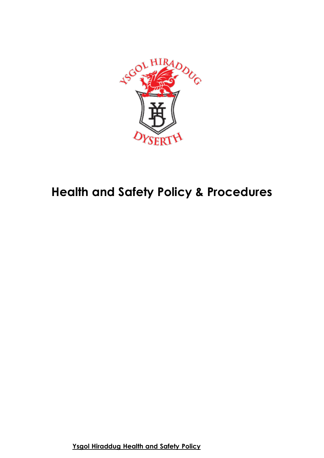

# **Health and Safety Policy & Procedures**

**Ysgol Hiraddug Health and Safety Policy**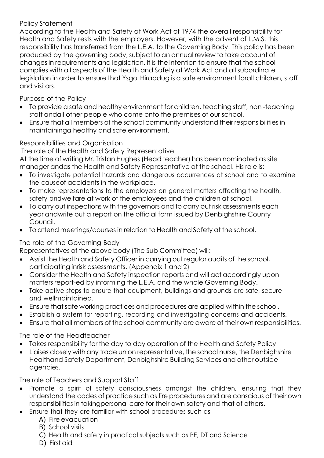## Policy Statement

According to the Health and Safety at Work Act of 1974 the overall responsibility for Health and Safety rests with the employers. However, with the advent of L.M.S. this responsibility has transferred from the L.E.A. to the Governing Body. This policy has been produced by the governing body, subject to an annual review to take account of changes in requirements and legislation. It is the intention to ensure that the school complies with all aspects of the Health and Safety at Work Act and all subordinate legislation in order to ensure that Ysgol Hiraddug is a safe environment forall children, staff and visitors.

Purpose of the Policy

- To provide a safe and healthy environment for children, teaching staff, non -teaching staff andall other people who come onto the premises of our school.
- Ensure that all members of the school community understand their responsibilities in maintaininga healthy and safe environment.

# Responsibilities and Organisation

The role of the Health and Safety Representative

At the time of writing Mr. Tristan Hughes (Head teacher) has been nominated as site manager andas the Health and Safety Representative at the school. His role is:

- To investigate potential hazards and dangerous occurrences at school and to examine the causeof accidents in the workplace.
- To make representations to the employers on general matters affecting the health, safety andwelfare at work of the employees and the children at school.
- To carry out inspections with the governors and to carry out risk assessments each year andwrite out a report on the official form issued by Denbighshire County Council.
- To attend meetings/courses in relation to Health and Safety at the school.

# The role of the Governing Body

Representatives of the above body (The Sub Committee) will:

- Assist the Health and Safety Officer in carrying out regular audits of the school, participating inrisk assessments. (Appendix 1 and 2)
- Consider the Health and Safety inspection reports and will act accordingly upon matters report-ed by informing the L.E.A. and the whole Governing Body.
- Take active steps to ensure that equipment, buildings and grounds are safe, secure and wellmaintained.
- Ensure that safe working practices and procedures are applied within the school.
- Establish a system for reporting, recording and investigating concerns and accidents.
- Ensure that all members of the school community are aware of their own responsibilities.

The role of the Headteacher

- Takes responsibility for the day to day operation of the Health and Safety Policy
- Liaises closely with any trade union representative, the school nurse, the Denbighshire Healthand Safety Department, Denbighshire Building Services and other outside agencies.

The role of Teachers and Support Staff

- Promote a spirit of safety consciousness amongst the children, ensuring that they understand the codes of practice such as fire procedures and are conscious of their own responsibilities in takingpersonal care for their own safety and that of others.
- Ensure that they are familiar with school procedures such as
	- A) Fire evacuation
	- B) School visits
	- C) Health and safety in practical subjects such as PE, DT and Science
	- D) First aid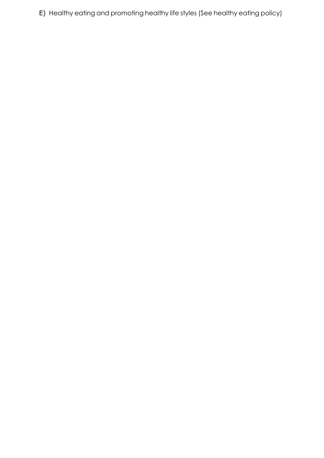E) Healthy eating and promoting healthy life styles (See healthy eating policy)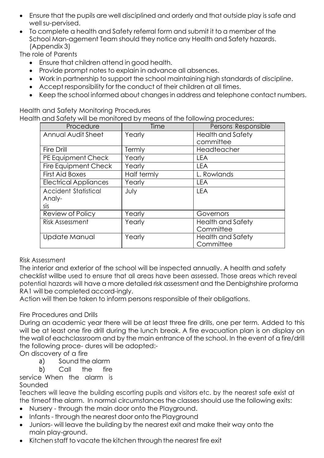- Ensure that the pupils are well disciplined and orderly and that outside play is safe and well su-pervised.
- To complete a health and Safety referral form and submit it to a member of the School Man-agement Team should they notice any Health and Safety hazards. (Appendix 3)

The role of Parents

- Ensure that children attend in good health.
- Provide prompt notes to explain in advance all absences.
- Work in partnership to support the school maintaining high standards of discipline.
- Accept responsibility for the conduct of their children at all times.
- Keep the school informed about changes in address and telephone contact numbers.

Health and Safety Monitoring Procedures Health and Safety will be monitored by means of the following procedures:

| Procedure                    | Time        | Persons Responsible      |
|------------------------------|-------------|--------------------------|
| Annual Audit Sheet           | Yearly      | <b>Health and Safety</b> |
|                              |             | committee                |
| <b>Fire Drill</b>            | Termly      | Headteacher              |
| PE Equipment Check           | Yearly      | <b>LEA</b>               |
| Fire Equipment Check         | Yearly      | <b>LEA</b>               |
| <b>First Aid Boxes</b>       | Half termly | L. Rowlands              |
| <b>Electrical Appliances</b> | Yearly      | <b>LEA</b>               |
| Accident Statistical         | July        | <b>LEA</b>               |
| Analy-                       |             |                          |
| sis                          |             |                          |
| Review of Policy             | Yearly      | Governors                |
| <b>Risk Assessment</b>       | Yearly      | <b>Health and Safety</b> |
|                              |             | Committee                |
| Update Manual                | Yearly      | <b>Health and Safety</b> |
|                              |             | Committee                |

## Risk Assessment

The interior and exterior of the school will be inspected annually. A health and safety checklist willbe used to ensure that all areas have been assessed. Those areas which reveal potential hazards will have a more detailed risk assessment and the Denbighshire proforma RA1 will be completed accord-ingly.

Action will then be taken to inform persons responsible of their obligations.

## Fire Procedures and Drills

During an academic year there will be at least three fire drills, one per term. Added to this will be at least one fire drill during the lunch break. A fire evacuation plan is on display on the wall of eachclassroom and by the main entrance of the school. In the event of a fire/drill the following proce- dures will be adopted:-

On discovery of a fire

a) Sound the alarm

b) Call the fire

service When the alarm is Sounded

Teachers will leave the building escorting pupils and visitors etc. by the nearest safe exist at the timeof the alarm. In normal circumstances the classes should use the following exits:

- Nursery through the main door onto the Playground.
- Infants through the nearest door onto the Playground
- Juniors- will leave the building by the nearest exit and make their way onto the main play-ground.
- Kitchen staff to vacate the kitchen through the nearest fire exit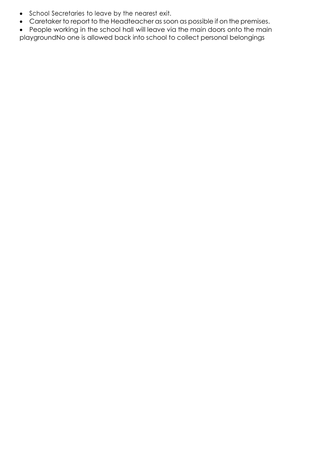- School Secretaries to leave by the nearest exit.
- Caretaker to report to the Headteacher as soon as possible if on the premises.
- People working in the school hall will leave via the main doors onto the main playgroundNo one is allowed back into school to collect personal belongings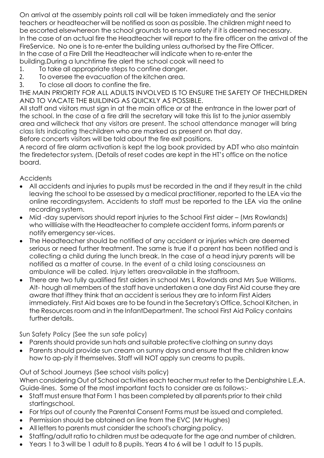On arrival at the assembly points roll call will be taken immediately and the senior teachers or headteacher will be notified as soon as possible. The children might need to be escorted elsewhereon the school grounds to ensure safety if it is deemed necessary. In the case of an actual fire the Headteacher will report to the fire officer on the arrival of the FireService. No one is to re-enter the building unless authorised by the Fire Officer. In the case of a Fire Drill the Headteacher will indicate when to re-enter the building.During a lunchtime fire alert the school cook will need to

- 1. To take all appropriate steps to confine danger.
- 2. To oversee the evacuation of the kitchen area.
- 3. To close all doors to confine the fire.

THE MAIN PRIORITY FOR ALL ADULTS INVOLVED IS TO ENSURE THE SAFETY OF THECHILDREN AND TO VACATE THE BUILDING AS QUICKLY AS POSSIBLE.

All staff and visitors must sign in at the main office or at the entrance in the lower part of the school. In the case of a fire drill the secretary will take this list to the junior assembly area and willcheck that any visitors are present. The school attendance manager will bring class lists indicating thechildren who are marked as present on that day. Before concerts visitors will be told about the fire exit positions.

A record of fire alarm activation is kept the log book provided by ADT who also maintain the firedetector system. (Details of reset codes are kept in the HT's office on the notice board.

**Accidents** 

- All accidents and injuries to pupils must be recorded in the and if they result in the child leaving the school to be assessed by a medical practitioner, reported to the LEA via the online recordingsystem. Accidents to staff must be reported to the LEA via the online recording system.
- Mid -day supervisors should report injuries to the School First aider (Mrs Rowlands) who willliaise with the Headteacher to complete accident forms, inform parents or notify emergency ser-vices.
- The Headteacher should be notified of any accident or injuries which are deemed serious or need further treatment. The same is true if a parent has been notified and is collecting a child during the lunch break. In the case of a head injury parents will be notified as a matter of course. In the event of a child losing consciousness an ambulance will be called. Injury letters areavailable in the staffroom.
- There are two fully qualified first aiders in school Mrs L Rowlands and Mrs Sue Williams. Alt- hough all members of the staff have undertaken a one day First Aid course they are aware that ifthey think that an accident is serious they are to inform First Aiders immediately. First Aid boxes are to be found in the Secretary's Office, School Kitchen, in the Resources room and in the InfantDepartment. The school First Aid Policy contains further details.

Sun Safety Policy (See the sun safe policy)

- Parents should provide sun hats and suitable protective clothing on sunny days
- Parents should provide sun cream on sunny days and ensure that the children know how to ap-ply it themselves. Staff will NOT apply sun creams to pupils.

Out of School Journeys (See school visits policy)

When considering Out of School activities each teacher must refer to the Denbighshire L.E.A. Guide-lines. Some of the most important facts to consider are as follows:-

- Staff must ensure that Form 1 has been completed by all parents prior to their child startingschool.
- For trips out of county the Parental Consent Forms must be issued and completed.
- Permission should be obtained on line from the EVC (Mr Hughes)
- All letters to parents must consider the school's charging policy.
- Staffing/adult ratio to children must be adequate for the age and number of children.
- Years 1 to 3 will be 1 adult to 8 pupils. Years 4 to 6 will be 1 adult to 15 pupils.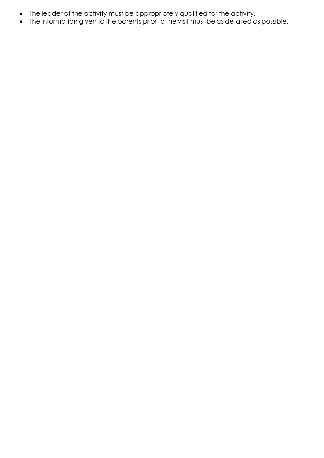- The leader of the activity must be appropriately qualified for the activity.
- The information given to the parents prior to the visit must be as detailed as possible.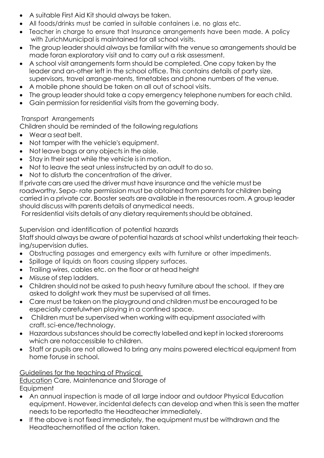- A suitable First Aid Kit should always be taken.
- All foods/drinks must be carried in suitable containers i.e. no glass etc.
- Teacher in charge to ensure that Insurance arrangements have been made. A policy with ZurichMunicipal is maintained for all school visits.
- The group leader should always be familiar with the venue so arrangements should be made foran exploratory visit and to carry out a risk assessment.
- A school visit arrangements form should be completed. One copy taken by the leader and an-other left in the school office. This contains details of party size, supervisors, travel arrange-ments, timetables and phone numbers of the venue.
- A mobile phone should be taken on all out of school visits.
- The group leader should take a copy emergency telephone numbers for each child.
- Gain permission for residential visits from the governing body.

## Transport Arrangements

Children should be reminded of the following regulations

- Wear a seat belt.
- Not tamper with the vehicle's equipment.
- Not leave bags or any objects in the aisle.
- Stay in their seat while the vehicle is in motion.
- Not to leave the seat unless instructed by an adult to do so.
- Not to disturb the concentration of the driver.

If private cars are used the driver must have insurance and the vehicle must be roadworthy. Sepa- rate permission must be obtained from parents for children being carried in a private car. Booster seats are available in the resources room. A group leader should discuss with parents details of anymedical needs.

For residential visits details of any dietary requirements should be obtained.

Supervision and identification of potential hazards

Staffshould always be aware of potential hazards at school whilst undertaking their teaching/supervision duties.

- Obstructing passages and emergency exits with furniture or other impediments.
- Spillage of liquids on floors causing slippery surfaces.
- Trailing wires, cables etc. on the floor or at head height
- Misuse of step ladders.
- Children should not be asked to push heavy furniture about the school. If they are asked to dolight work they must be supervised at all times.
- Care must be taken on the playground and children must be encouraged to be especially carefulwhen playing in a confined space.
- Children must be supervised when working with equipment associated with craft, sci-ence/technology.
- Hazardous substances should be correctly labelled and kept in locked storerooms which are notaccessible to children.
- Staff or pupils are not allowed to bring any mains powered electrical equipment from home foruse in school.

# Guidelines for the teaching of Physical

Education Care, Maintenance and Storage of **Equipment** 

- An annual inspection is made of all large indoor and outdoor Physical Education equipment. However, incidental defects can develop and when this is seen the matter needs to be reportedto the Headteacher immediately.
- If the above is not fixed immediately, the equipment must be withdrawn and the Headteachernotified of the action taken.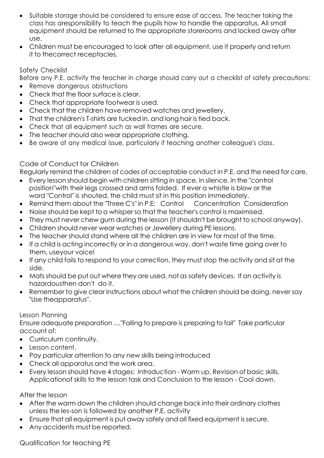- Suitable storage should be considered to ensure ease of access. The teacher taking the class has aresponsibility to teach the pupils how to handle the apparatus. All small equipment should be returned to the appropriate storerooms and locked away after use.
- Children must be encouraged to look after all equipment, use it properly and return it to thecorrect receptacles.

## Safety Checklist

Before any P.E. activity the teacher in charge should carry out a checklist of safety precautions:

- Remove dangerous obstructions
- Check that the floor surface is clear.
- Check that appropriate footwear is used.
- Check that the children have removed watches and jewellery.
- That the children's T-shirts are tucked in, and long hair is tied back.
- Check that all equipment such as wall frames are secure.
- The teacher should also wear appropriate clothing.
- Be aware of any medical issue, particularly if teaching another colleague's class.

# Code of Conduct for Children

Regularly remind the children of codes of acceptable conduct in P.E. and the need for care.

- Every lesson should begin with children sitting in space, in silence, in the "control position"with their legs crossed and arms folded. If ever a whistle is blow or the word "Control" is shouted, the child must sit in this position immediately.
- Remind them about the "Three C's" in P.E: Control Concentration Consideration
- Noise should be kept to a whisper so that the teacher's control is maximised.
- They must never chew gum during the lesson (it shouldn't be brought to school anyway).
- Children should never wear watches or Jewellery during PE lessons.
- The teacher should stand where all the children are in view for most of the time.
- If a child is acting incorrectly or in a dangerous way, don't waste time going over to them, useyour voice!
- If any child fails to respond to your correction, they must stop the activity and sit at the side.
- Mats should be put out where they are used, not as safety devices. If an activity is hazardousthen don't do it.
- Remember to give clear instructions about what the children should be doing, never say "Use theapparatus".

## Lesson Planning

Ensure adequate preparation ...."Failing to prepare is preparing to fail" Take particular account of:

- Curriculum continuity.
- Lesson content.
- Pay particular attention to any new skills being introduced
- Check all apparatus and the work area.
- Every lesson should have 4 stages: Introduction Warm up, Revision of basic skills, Applicationof skills to the lesson task and Conclusion to the lesson - Cool down.

# After the lesson

- After the warm down the children should change back into their ordinary clothes unless the les-son is followed by another P.E. activity
- Ensure that all equipment is put away safely and all fixed equipment is secure.
- Any accidents must be reported.

Qualification for teaching PE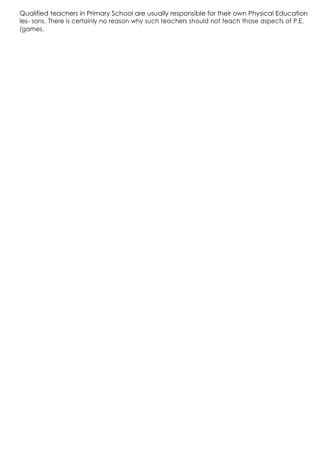Qualified teachers in Primary School are usually responsible for their own Physical Education les- sons. There is certainly no reason why such teachers should not teach those aspects of P.E. (games,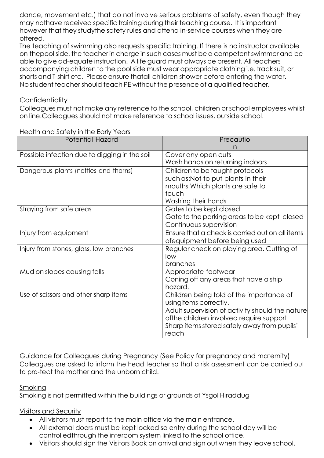dance, movement etc.) that do not involve serious problems of safety, even though they may nothave received specific training during their teaching course. It is important however that they studythe safety rules and attend in-service courses when they are offered.

The teaching of swimming also requests specific training. If there is no instructor available on thepool side, the teacher in charge in such cases must be a competent swimmer and be able to give ad-equate instruction. A life guard must always be present. All teachers accompanying children to the pool side must wear appropriate clothing i.e. track suit, or shorts and T-shirt etc. Please ensure thatall children shower before entering the water. No student teacher should teach PE without the presence of a qualified teacher.

## **Confidentiality**

Colleagues must not make any reference to the school, children or school employees whilst on line.Colleagues should not make reference to school issues, outside school.

| Potential Hazard                              | Precautio                                       |
|-----------------------------------------------|-------------------------------------------------|
|                                               |                                                 |
| Possible infection due to digging in the soil | Cover any open cuts                             |
|                                               | Wash hands on returning indoors                 |
| Dangerous plants (nettles and thorns)         | Children to be taught protocols                 |
|                                               | such as:Not to put plants in their              |
|                                               | mouths Which plants are safe to                 |
|                                               | touch                                           |
|                                               | Washing their hands                             |
| Straying from safe areas                      | Gates to be kept closed                         |
|                                               | Gate to the parking areas to be kept closed     |
|                                               | Continuous supervision                          |
| Injury from equipment                         | Ensure that a check is carried out on all items |
|                                               | ofequipment before being used                   |
| Injury from stones, glass, low branches       | Regular check on playing area. Cutting of       |
|                                               | low                                             |
|                                               | branches                                        |
| Mud on slopes causing falls                   | Appropriate footwear                            |
|                                               | Coning off any areas that have a ship           |
|                                               | hazard.                                         |
| Use of scissors and other sharp items         | Children being told of the importance of        |
|                                               | usingitems correctly.                           |
|                                               | Adult supervision of activity should the nature |
|                                               | ofthe children involved require support         |
|                                               | Sharp items stored safely away from pupils'     |
|                                               | reach                                           |

Health and Safety in the Early Years

Guidance for Colleagues during Pregnancy (See Policy for pregnancy and maternity) Colleagues are asked to inform the head teacher so that a risk assessment can be carried out to pro-tect the mother and the unborn child.

## Smokina

Smoking is not permitted within the buildings or grounds of Ysgol Hiraddug

# Visitors and Security

- All visitors must report to the main office via the main entrance.
- All external doors must be kept locked so entry during the school day will be controlledthrough the intercom system linked to the school office.
- Visitors should sign the Visitors Book on arrival and sign out when they leave school.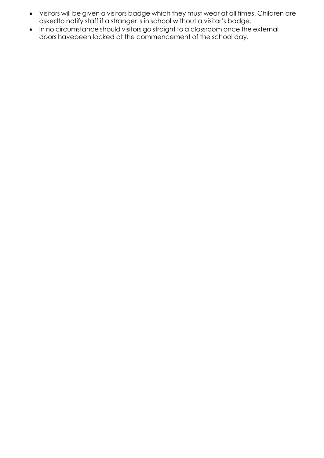- Visitors will be given a visitors badge which they must wear at all times. Children are askedto notify staff if a stranger is in school without a visitor's badge.
- In no circumstance should visitors go straight to a classroom once the external doors havebeen locked at the commencement of the school day.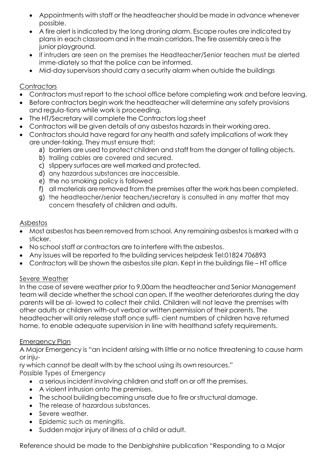- Appointments with staff or the headteacher should be made in advance whenever possible.
- A fire alert is indicated by the long droning alarm. Escape routes are indicated by plans in each classroom and in the main corridors. The fire assembly area is the junior playground.
- If intruders are seen on the premises the Headteacher/Senior teachers must be alerted imme-diately so that the police can be informed.
- Mid-day supervisors should carry a security alarm when outside the buildings

## **Contractors**

- Contractors must report to the school office before completing work and before leaving.
- Before contractors begin work the headteacher will determine any safety provisions and regula-tions while work is proceeding.
- The HT/Secretary will complete the Contractors log sheet
- Contractors will be given details of any asbestos hazards in their working area.
- Contractors should have regard for any health and safety implications of work they are under-taking. They must ensure that:
	- a) barriers are used to protect children and staff from the danger of falling objects.
	- b) trailing cables are covered and secured.
	- c) slippery surfaces are well marked and protected.
	- d) any hazardous substances are inaccessible.
	- e) the no smoking policy is followed
	- f) all materials are removed from the premises after the work has been completed.
	- g) the headteacher/senior teachers/secretary is consulted in any matter that may concern thesafety of children and adults.

## Asbestos

- Most asbestos has been removed from school. Any remaining asbestos is marked with a sticker.
- No school staff or contractors are to interfere with the asbestos.
- Any issues will be reported to the building services helpdesk Tel:01824 706893
- Contractors will be shown the asbestos site plan. Kept in the buildings file HT office

## Severe Weather

In the case of severe weather prior to 9.00am the headteacher and Senior Management team will decide whether the school can open. If the weather deteriorates during the day parents will be al- lowed to collect their child. Children will not leave the premises with other adults or children with-out verbal or written permission of their parents. The headteacher will only release staff once suffi- cient numbers of children have returned home, to enable adequate supervision in line with healthand safety requirements.

# Emergency Plan

A Major Emergency is "an incident arising with little or no notice threatening to cause harm or inju-

ry which cannot be dealt with by the school using its own resources." Possible Types of Emergency

- a serious incident involving children and staff on or off the premises.
- A violent intrusion onto the premises.
- The school building becoming unsafe due to fire or structural damage.
- The release of hazardous substances.
- Severe weather.
- Epidemic such as meningitis.
- Sudden major injury of illness of a child or adult.

Reference should be made to the Denbighshire publication "Responding to a Major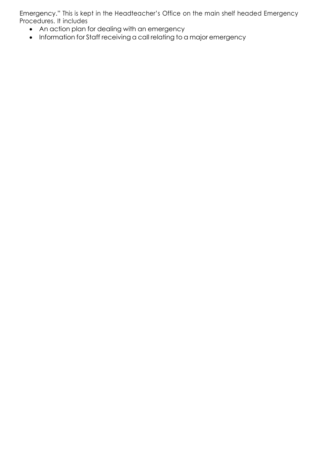Emergency." This is kept in the Headteacher's Office on the main shelf headed Emergency Procedures. It includes

- An action plan for dealing with an emergency
- Information for Staff receiving a call relating to a major emergency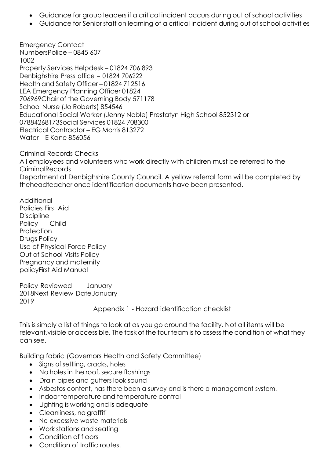- Guidance for group leaders if a critical incident occurs during out of school activities
- Guidance for Senior staff on learning of a critical incident during out of school activities

Emergency Contact NumbersPolice – 0845 607 1002 Property Services Helpdesk – 01824 706 893 Denbighshire Press office – 01824 706222 Health and Safety Officer – 01824 712516 LEA Emergency Planning Officer 01824 706969Chair of the Governing Body 571178 School Nurse (Jo Roberts) 854546 Educational Social Worker (Jenny Noble) Prestatyn High School 852312 or 07884268173Social Services 01824 708300 Electrical Contractor – EG Morris 813272 Water – E Kane 856056

Criminal Records Checks All employees and volunteers who work directly with children must be referred to the CriminalRecords Department at Denbighshire County Council. A yellow referral form will be completed by theheadteacher once identification documents have been presented.

Additional Policies First Aid **Discipline** Policy Child **Protection** Drugs Policy Use of Physical Force Policy Out of School Visits Policy Pregnancy and maternity policyFirst Aid Manual

Policy Reviewed January 2018Next Review DateJanuary 2019

Appendix 1 - Hazard identification checklist

This is simply a list of things to look at as you go around the facility. Not all items will be relevant,visible or accessible. The task of the tour team is to assess the condition of what they can see.

Building fabric (Governors Health and Safety Committee)

- Signs of settling, cracks, holes
- No holes in the roof, secure flashings
- Drain pipes and gutters look sound
- Asbestos content, has there been a survey and is there a management system.
- Indoor temperature and temperature control
- Lighting is working and is adequate
- Cleanliness, no graffiti
- No excessive waste materials
- Work stations and seating
- Condition of floors
- Condition of traffic routes.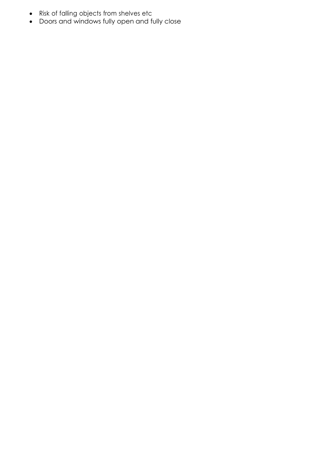- Risk of falling objects from shelves etc
- Doors and windows fully open and fully close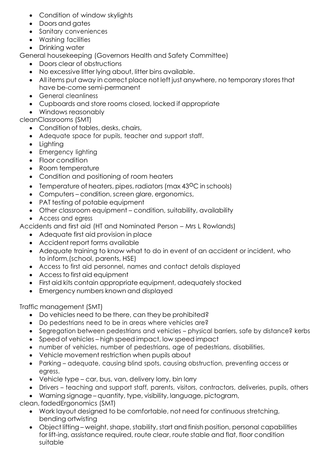- Condition of window skylights
- Doors and aates
- Sanitary conveniences
- Washing facilities
- Drinking water

General housekeeping (Governors Health and Safety Committee)

- Doors clear of obstructions
- No excessive litter lying about, litter bins available.
- All items put away in correct place not left just anywhere, no temporary stores that have be-come semi-permanent
- General cleanliness
- Cupboards and store rooms closed, locked if appropriate
- Windows reasonably

cleanClassrooms (SMT)

- Condition of tables, desks, chairs,
- Adequate space for pupils, teacher and support staff.
- Lighting
- Emergency lighting
- Floor condition
- Room temperature
- Condition and positioning of room heaters
- Temperature of heaters, pipes, radiators (max  $43^{\circ}$ C in schools)
- Computers condition, screen glare, ergonomics,
- PAT testing of potable equipment
- Other classroom equipment condition, suitability, availability
- Access and egress
- Accidents and first aid (HT and Nominated Person Mrs L Rowlands)
	- Adequate first aid provision in place
	- Accident report forms available
	- Adequate training to know what to do in event of an accident or incident, who to inform,(school, parents, HSE)
	- Access to first aid personnel, names and contact details displayed
	- Access to first aid equipment
	- First aid kits contain appropriate equipment, adequately stocked
	- Emergency numbers known and displayed

Traffic management (SMT)

- Do vehicles need to be there, can they be prohibited?
- Do pedestrians need to be in areas where vehicles are?
- Segregation between pedestrians and vehicles physical barriers, safe by distance? kerbs
- Speed of vehicles high speed impact, low speed impact
- number of vehicles, number of pedestrians, age of pedestrians, disabilities,
- Vehicle movement restriction when pupils about
- Parking adequate, causing blind spots, causing obstruction, preventing access or egress.
- Vehicle type car, bus, van, delivery lorry, bin lorry
- Drivers teaching and support staff, parents, visitors, contractors, deliveries, pupils, others
- Warning signage quantity, type, visibility, language, pictogram,

clean, fadedErgonomics (SMT)

- Work layout designed to be comfortable, not need for continuous stretching, bending ortwisting
- Object lifting weight, shape, stability, start and finish position, personal capabilities for lift-ing, assistance required, route clear, route stable and flat, floor condition suitable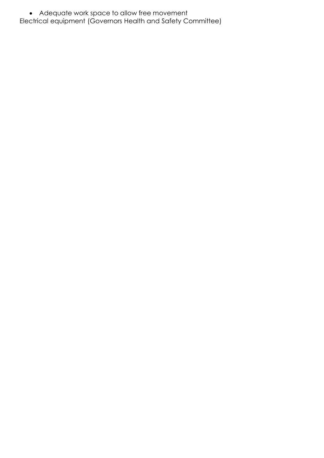• Adequate work space to allow free movement

Electrical equipment (Governors Health and Safety Committee)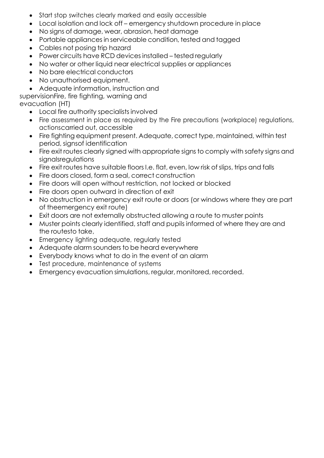- Start stop switches clearly marked and easily accessible
- Local isolation and lock off emergency shutdown procedure in place
- No signs of damage, wear, abrasion, heat damage
- Portable appliances in serviceable condition, tested and tagged
- Cables not posing trip hazard
- Power circuits have RCD devices installed tested regularly
- No water or other liquid near electrical supplies or appliances
- No bare electrical conductors
- No unauthorised equipment.
- Adequate information, instruction and

supervisionFire, fire fighting, warning and

evacuation (HT)

- Local fire authority specialists involved
- Fire assessment in place as required by the Fire precautions (workplace) regulations, actionscarried out, accessible
- Fire fighting equipment present. Adequate, correct type, maintained, within test period, signsof identification
- Fire exit routes clearly signed with appropriate signs to comply with safety signs and signalsregulations
- Fire exit routes have suitable floors I.e. flat, even, low risk of slips, trips and falls
- Fire doors closed, form a seal, correct construction
- Fire doors will open without restriction, not locked or blocked
- Fire doors open outward in direction of exit
- No obstruction in emergency exit route or doors (or windows where they are part of theemergency exit route)
- Exit doors are not externally obstructed allowing a route to muster points
- Muster points clearly identified, staff and pupils informed of where they are and the routesto take,
- Emergency lighting adequate, regularly tested
- Adequate alarm sounders to be heard everywhere
- Everybody knows what to do in the event of an alarm
- Test procedure, maintenance of systems
- Emergency evacuation simulations, regular, monitored, recorded.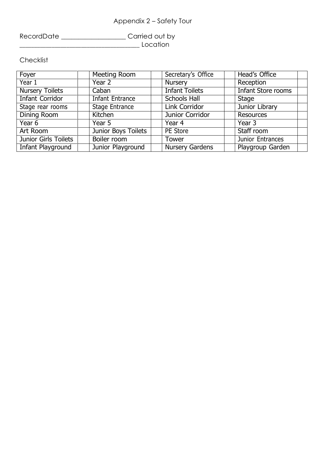# Appendix 2 – Safety Tour

RecordDate \_\_\_\_\_\_\_\_\_\_\_\_\_\_\_\_\_\_\_\_Carried out by \_\_\_\_\_\_\_\_\_\_\_\_\_\_\_\_\_\_\_\_\_\_\_\_\_\_\_\_\_\_\_\_\_\_\_\_\_\_\_\_\_ Location

**Checklist** 

| Foyer                       | Meeting Room           | Secretary's Office     | Head's Office             |
|-----------------------------|------------------------|------------------------|---------------------------|
| Year 1                      | Year 2                 | <b>Nursery</b>         | Reception                 |
| <b>Nursery Toilets</b>      | Caban                  | <b>Infant Toilets</b>  | <b>Infant Store rooms</b> |
| <b>Infant Corridor</b>      | <b>Infant Entrance</b> | <b>Schools Hall</b>    | <b>Stage</b>              |
| Stage rear rooms            | <b>Stage Entrance</b>  | Link Corridor          | Junior Library            |
| <b>Dining Room</b>          | Kitchen                | Junior Corridor        | <b>Resources</b>          |
| Year 6                      | Year 5                 | Year 4                 | Year 3                    |
| Art Room                    | Junior Boys Toilets    | PE Store               | Staff room                |
| <b>Junior Girls Toilets</b> | Boiler room            | Tower                  | Junior Entrances          |
| Infant Playground           | Junior Playground      | <b>Nursery Gardens</b> | Playgroup Garden          |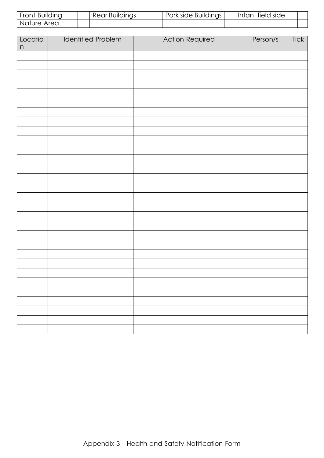| Front Building | Rear Buildings | Park side Buildings | Intant field side |  |
|----------------|----------------|---------------------|-------------------|--|
| Nature Area    |                |                     |                   |  |

| Locatio<br>$\mathsf{n}$ | <b>Identified Problem</b> | <b>Action Required</b> | Person/s | Tick |
|-------------------------|---------------------------|------------------------|----------|------|
|                         |                           |                        |          |      |
|                         |                           |                        |          |      |
|                         |                           |                        |          |      |
|                         |                           |                        |          |      |
|                         |                           |                        |          |      |
|                         |                           |                        |          |      |
|                         |                           |                        |          |      |
|                         |                           |                        |          |      |
|                         |                           |                        |          |      |
|                         |                           |                        |          |      |
|                         |                           |                        |          |      |
|                         |                           |                        |          |      |
|                         |                           |                        |          |      |
|                         |                           |                        |          |      |
|                         |                           |                        |          |      |
|                         |                           |                        |          |      |
|                         |                           |                        |          |      |
|                         |                           |                        |          |      |
|                         |                           |                        |          |      |
|                         |                           |                        |          |      |
|                         |                           |                        |          |      |
|                         |                           |                        |          |      |
|                         |                           |                        |          |      |
|                         |                           |                        |          |      |
|                         |                           |                        |          |      |
|                         |                           |                        |          |      |
|                         |                           |                        |          |      |
|                         |                           |                        |          |      |
|                         |                           |                        |          |      |
|                         |                           |                        |          |      |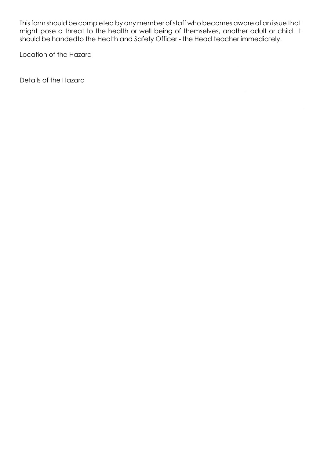This form should be completed by any member of staff who becomes aware of an issue that might pose a threat to the health or well being of themselves, another adult or child. It should be handedto the Health and Safety Officer - the Head teacher immediately.

Location of the Hazard

Details of the Hazard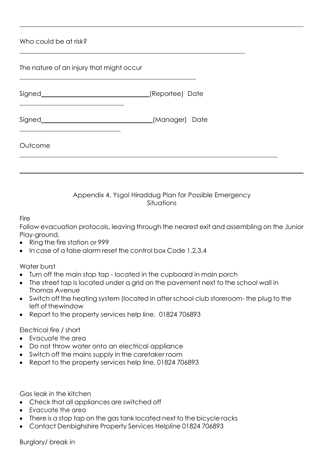Who could be at risk?

| The nature of an injury that might occur |                 |  |
|------------------------------------------|-----------------|--|
|                                          | (Reportee) Date |  |
|                                          | (Manager) Date  |  |
| Outcome                                  |                 |  |
|                                          |                 |  |

#### Appendix 4, Ysgol Hiraddug Plan for Possible Emergency Situations

#### **Fire**

Follow evacuation protocols, leaving through the nearest exit and assembling on the Junior Play-ground.

- Ring the fire station or 999
- In case of a false alarm reset the control box Code 1,2,3,4

Water burst

- Turn off the main stop tap located in the cupboard in main porch
- The street tap is located under a grid on the pavement next to the school wall in Thomas Avenue
- Switch off the heating system (located in after school club storeroom- the plug to the left of thewindow
- Report to the property services help line. 01824 706893

Electrical fire / short

- Evacuate the area
- Do not throw water onto an electrical appliance
- Switch off the mains supply in the caretaker room
- Report to the property services help line. 01824 706893

Gas leak in the kitchen

- Check that all appliances are switched off
- Evacuate the area
- There is a stop tap on the gas tank located next to the bicycle racks
- Contact Denbighshire Property Services Helpline 01824 706893

Burglary/ break in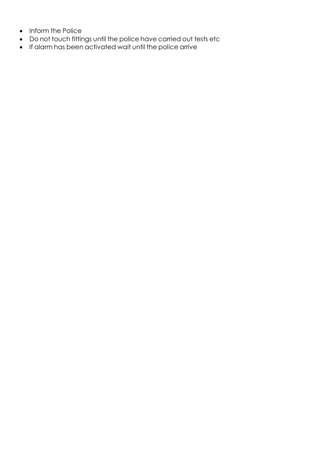- Inform the Police
- Do not touch fittings until the police have carried out tests etc
- If alarm has been activated wait until the police arrive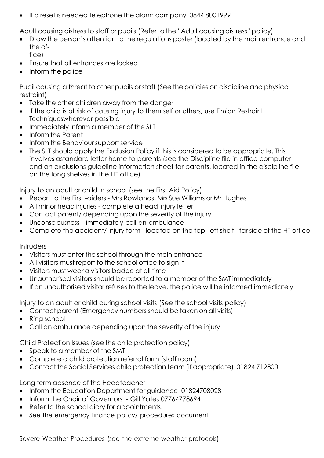• If a reset is needed telephone the alarm company 0844 8001999

Adult causing distress to staff or pupils (Refer to the "Adult causing distress" policy)

- Draw the person's attention to the regulations poster (located by the main entrance and the office)
- Ensure that all entrances are locked
- Inform the police

Pupil causing a threat to other pupils or staff (See the policies on discipline and physical restraint)

- Take the other children away from the danger
- If the child is at risk of causing injury to them self or others, use Timian Restraint Techniqueswherever possible
- Immediately inform a member of the SLT
- Inform the Parent
- Inform the Behaviour support service
- The SLT should apply the Exclusion Policy if this is considered to be appropriate. This involves astandard letter home to parents (see the Discipline file in office computer and an exclusions guideline information sheet for parents, located in the discipline file on the long shelves in the HT office)

Injury to an adult or child in school (see the First Aid Policy)

- Report to the First -aiders Mrs Rowlands, Mrs Sue Williams or Mr Hughes
- All minor head injuries complete a head injury letter
- Contact parent/ depending upon the severity of the injury
- Unconsciousness immediately call an ambulance
- Complete the accident/ injury form located on the top, left shelf far side of the HT office

#### **Intruders**

- Visitors must enter the school through the main entrance
- All visitors must report to the school office to sign it
- Visitors must wear a visitors badge at all time
- Unauthorised visitors should be reported to a member of the SMT immediately
- If an unauthorised visitor refuses to the leave, the police will be informed immediately

Injury to an adult or child during school visits (See the school visits policy)

- Contact parent (Emergency numbers should be taken on all visits)
- Ring school
- Call an ambulance depending upon the severity of the injury

Child Protection Issues (see the child protection policy)

- Speak to a member of the SMT
- Complete a child protection referral form (staff room)
- Contact the Social Services child protection team (if appropriate) 01824 712800

Long term absence of the Headteacher

- Inform the Education Department for guidance 01824708028
- Inform the Chair of Governors Gill Yates 07764778694
- Refer to the school diary for appointments.
- See the emergency finance policy/ procedures document.

Severe Weather Procedures (see the extreme weather protocols)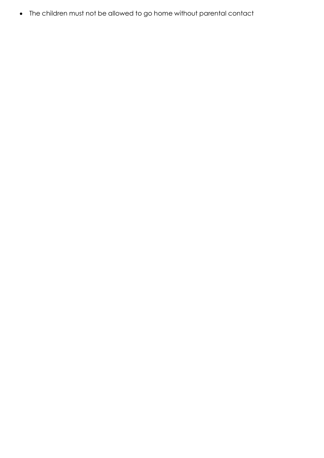• The children must not be allowed to go home without parental contact